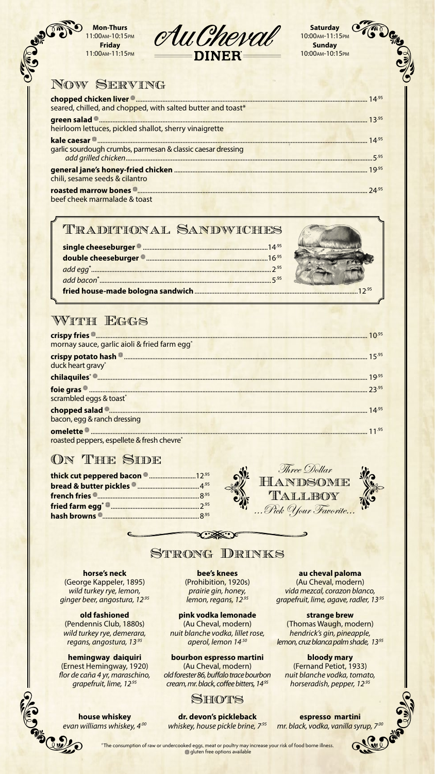| seared, chilled, and chopped, with salted butter and toast* |  |
|-------------------------------------------------------------|--|
| heirloom lettuces, pickled shallot, sherry vinaigrette      |  |
|                                                             |  |
| garlic sourdough crumbs, parmesan & classic caesar dressing |  |
| chili, sesame seeds & cilantro                              |  |
|                                                             |  |
| beef cheek marmalade & toast                                |  |

**Mon-Thurs** 11:00am-10:15pm

**Friday** 11:00am-11:15pm

Compact





**Sunday** 10:00am-10:15pm

# NOW SERVING

|                                                          | $10^{.95}$ |
|----------------------------------------------------------|------------|
| mornay sauce, garlic aioli & fried farm egg <sup>*</sup> |            |
| <b>crispy potato hash <math>^{\circledR}</math>.</b>     | 15.95      |

| duck heart gravy*                          |       |
|--------------------------------------------|-------|
|                                            | 19.95 |
|                                            |       |
| scrambled eggs & toast*                    |       |
|                                            |       |
| bacon, egg & ranch dressing                |       |
|                                            |       |
| roasted peppers, espellete & fresh chevre* |       |

## ON THE SIDE

## Traditional Sandwiches

# WITH EGGS

### **horse's neck**

(George Kappeler, 1895) *wild turkey rye, lemon, ginger beer, angostura, 12.95*

### **old fashioned**

(Pendennis Club, 1880s) *wild turkey rye, demerara, regans, angostura, 13.95*

### **hemingway daiquiri**

(Ernest Hemingway, 1920) *flor de caña 4 yr, maraschino, grapefruit, lime, 12.95*

### **bee's knees**

(Prohibition, 1920s) *prairie gin, honey, lemon, regans, 12.95*

## **pink vodka lemonade** (Au Cheval, modern)

*nuit blanche vodka, lillet rose, aperol, lemon 14.50*

### **bourbon espresso martini**

(Au Cheval, modern) *old forester 86, buffalo trace bourbon cream, mr. black, coffee bitters, 14.95*

### **au cheval paloma**

(Au Cheval, modern) *vida mezcal, corazon blanco, grapefruit, lime, agave, radler, 13.95*

### **strange brew**

(Thomas Waugh, modern) *hendrick's gin, pineapple, lemon, cruz blanca palm shade, 13.95*

### **bloody mary**

(Fernand Petiot, 1933) *nuit blanche vodka, tomato, horseradish, pepper, 12.95*

| thick cut peppered bacon <b>@ </b> 12.95 |  |
|------------------------------------------|--|
|                                          |  |
|                                          |  |
|                                          |  |
|                                          |  |







## STRONG DRINKS